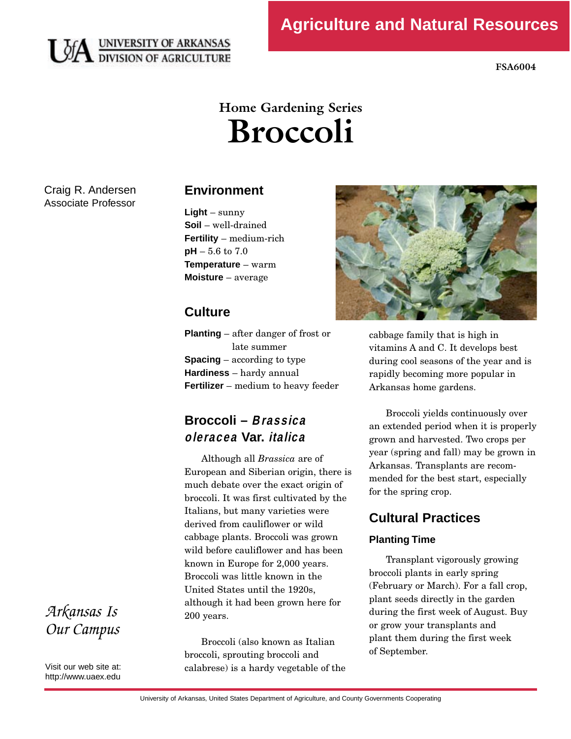

**FSA6004** 

# **Home Gardening Series Broccoli**

Craig R. Andersen Associate Professor

## **Environment**

**Light** – sunny **Soil** – well-drained **Fertility** – medium-rich **pH** – 5.6 to 7.0 **Temperature** – warm **Moisture** – average

## **Culture**

**Planting** – after danger of frost or **Spacing** – according to type **Hardiness** – hardy annual **Fertilizer** – medium to heavy feeder

# **Broccoli – Brassica oleracea Var. italica**

Although all *Brassica* are of<br>European and Siberian origin, there is much debate over the exact origin of broccoli. It was first cultivated by the Italians, but many varieties were derived from cauliflower or wild cabbage plants. Broccoli was grown wild before cauliflower and has been known in Europe for 2,000 years. Broccoli was little known in the United States until the 1920s.  $U_1 = 1.41 \cdot 11$ although it had been grown here for 200 years.

Broccoli (also known as Italian<br>broccoli, sprouting broccoli and broccoli, sprouting broccoli and calabrese) is a hardy vegetable of the



cabbage family that is high in<br>vitamins A and C. It develops best during cool seasons of the year and is rapidly becoming more popular in rapidly becoming more popular in Arkansas home gardens.

Broccoli yields continuously over<br>an extended period when it is properly grown and harvested. Two crops per year (spring and fall) may be grown in Arkansas. Transplants are recommended for the best start, especially  $\frac{m}{c}$  and  $\frac{m}{c}$  the best start, especially for the spring crop.

# **Cultural Practices**

## **Planting Time**

Transplant vigorously growing<br>broccoli plants in early spring (February or March). For a fall crop, plant seeds directly in the garden during the first week of August. Buy or grow your transplants and plant them during the first week  $\frac{1}{2}$   $\frac{1}{2}$   $\frac{1}{2}$   $\frac{1}{2}$   $\frac{1}{2}$   $\frac{1}{2}$   $\frac{1}{2}$   $\frac{1}{2}$   $\frac{1}{2}$   $\frac{1}{2}$   $\frac{1}{2}$   $\frac{1}{2}$   $\frac{1}{2}$   $\frac{1}{2}$   $\frac{1}{2}$   $\frac{1}{2}$   $\frac{1}{2}$   $\frac{1}{2}$   $\frac{1}{2}$   $\frac{1}{2}$   $\frac{1}{2}$   $\frac{1}{2}$  of September.

*Arkansas Is Our Campus* 

Visit our web site at: http://www.uaex.edu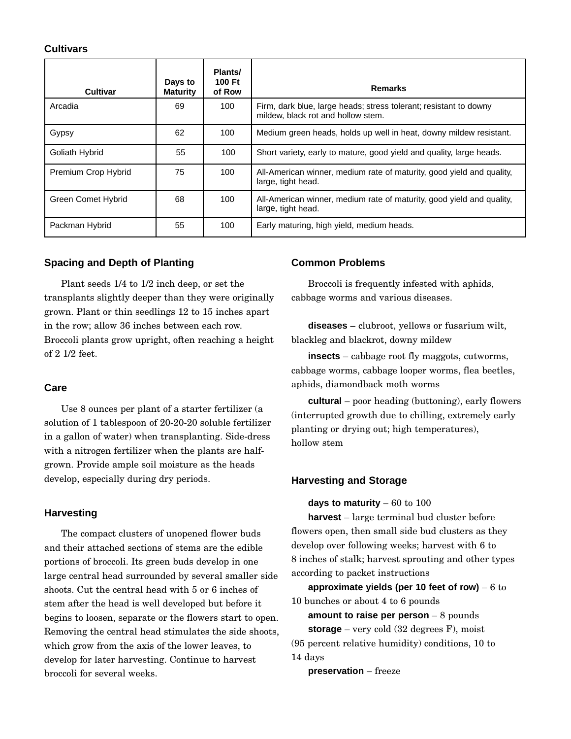#### **Cultivars**

| Cultivar            | Days to<br><b>Maturity</b> | Plants/<br>100 Ft<br>of Row | <b>Remarks</b>                                                                                          |
|---------------------|----------------------------|-----------------------------|---------------------------------------------------------------------------------------------------------|
| Arcadia             | 69                         | 100                         | Firm, dark blue, large heads; stress tolerant; resistant to downy<br>mildew, black rot and hollow stem. |
| Gypsy               | 62                         | 100                         | Medium green heads, holds up well in heat, downy mildew resistant.                                      |
| Goliath Hybrid      | 55                         | 100                         | Short variety, early to mature, good yield and quality, large heads.                                    |
| Premium Crop Hybrid | 75                         | 100                         | All-American winner, medium rate of maturity, good yield and quality,<br>large, tight head.             |
| Green Comet Hybrid  | 68                         | 100                         | All-American winner, medium rate of maturity, good yield and quality,<br>large, tight head.             |
| Packman Hybrid      | 55                         | 100                         | Early maturing, high yield, medium heads.                                                               |

#### **Spacing and Depth of Planting**

Plant seeds  $1/4$  to  $1/2$  inch deep, or set the<br>transplants slightly deeper than they were originally grown. Plant or thin seedlings 12 to 15 inches apart in the row; allow 36 inches between each row.  $\frac{1}{2}$  in the row; allow 36 inches between each row. Broccoli plants grow upright, often reaching a height  $\overline{a}$  2  $\overline{b}$  from:

## **Care**

Use 8 ounces per plant of a starter fertilizer (a in a gallon of water) when transplanting. Side-dress in a gallon of water) when transplanting. Side-dress with a nitrogen fertilizer when the plants are half- $\frac{1}{2}$ develop, especially during dry periods.

## **Harvesting**

The compact clusters of unopened flower buds<br>and their attached sections of stems are the edible portions of broccoli. Its green buds develop in one large central head surrounded by several smaller side shoots. Cut the central head with  $5$  or  $6$  inches of stem after the head is well developed but before it begins to loosen, separate or the flowers start to open. Removing the central head stimulates the side shoots, which grow from the axis of the lower leaves, to develop for later harvesting. Continue to harvest broccoli for several weeks. broccoli for several weeks.

#### **Common Problems**

Broccoli is frequently infested with aphids, cabbage worms and various diseases.

**diseases** – clubroot, yellows or fusarium wilt, blackleg and blackrot, downy mildew

insects – cabbage root fly maggots, cutworms,<br>cabbage worms, cabbage looper worms, flea beetles, cabbage worms, cabbage looper worms, flea beetles, aphids, diamondback moth worms

**cultural** – poor heading (buttoning), early flowers (interrupted growth due to chilling, extremely early planting or drying out; high temperatures),<br>hollow stem hollow stem

## **Harvesting and Storage**

**days to maturity** – 60 to 100

**harvest** – large terminal bud cluster before<br>flowers open, then small side bud clusters as they develop over following weeks; harvest with 6 to develop over following weeks; harvest with 6 to 8 inches of stalk; harvest sprouting and other types according to packet instructions

**approximate yields (per 10 feet of row)** – 6 to 10 bunches or about 4 to 6 pounds

**amount to raise per person** – 8 pounds **storage** – very cold (32 degrees F), moist

(95 percent relative humidity) conditions, 10 to 14 days

**preservation** – freeze